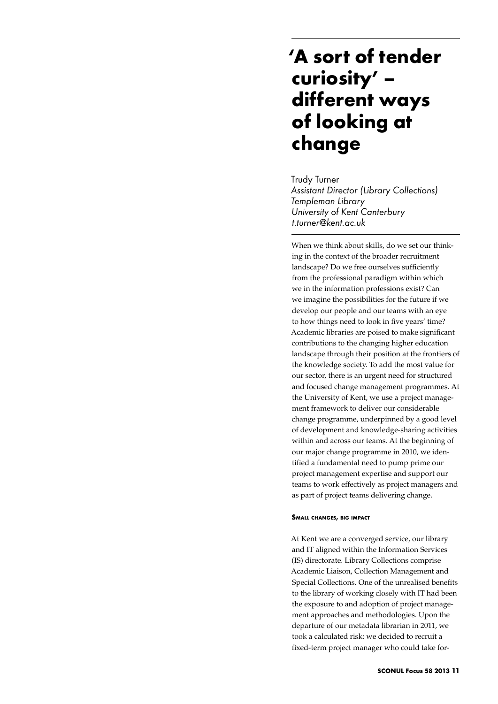## **'A sort of tender curiosity' – different ways of looking at change**

Trudy Turner *Assistant Director (Library Collections) Templeman Library University of Kent Canterbury t.turner@kent.ac.uk*

When we think about skills, do we set our thinking in the context of the broader recruitment landscape? Do we free ourselves sufficiently from the professional paradigm within which we in the information professions exist? Can we imagine the possibilities for the future if we develop our people and our teams with an eye to how things need to look in five years' time? Academic libraries are poised to make significant contributions to the changing higher education landscape through their position at the frontiers of the knowledge society. To add the most value for our sector, there is an urgent need for structured and focused change management programmes. At the University of Kent, we use a project management framework to deliver our considerable change programme, underpinned by a good level of development and knowledge-sharing activities within and across our teams. At the beginning of our major change programme in 2010, we identified a fundamental need to pump prime our project management expertise and support our teams to work effectively as project managers and as part of project teams delivering change.

## **Small changes, big impact**

At Kent we are a converged service, our library and IT aligned within the Information Services (IS) directorate. Library Collections comprise Academic Liaison, Collection Management and Special Collections. One of the unrealised benefits to the library of working closely with IT had been the exposure to and adoption of project management approaches and methodologies. Upon the departure of our metadata librarian in 2011, we took a calculated risk: we decided to recruit a fixed-term project manager who could take for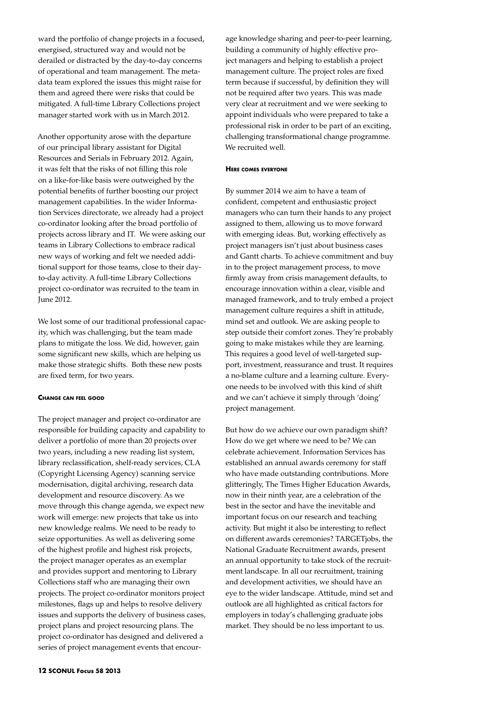ward the portfolio of change projects in a focused, energised, structured way and would not be derailed or distracted by the day-to-day concerns of operational and team management. The metadata team explored the issues this might raise for them and agreed there were risks that could be mitigated. A full-time Library Collections project manager started work with us in March 2012.

Another opportunity arose with the departure of our principal library assistant for Digital Resources and Serials in February 2012. Again, it was felt that the risks of not filling this role on a like-for-like basis were outweighed by the potential benefits of further boosting our project management capabilities. In the wider Information Services directorate, we already had a project co-ordinator looking after the broad portfolio of projects across library and IT. We were asking our teams in Library Collections to embrace radical new ways of working and felt we needed additional support for those teams, close to their dayto-day activity. A full-time Library Collections project co-ordinator was recruited to the team in June 2012.

We lost some of our traditional professional capacity, which was challenging, but the team made plans to mitigate the loss. We did, however, gain some significant new skills, which are helping us make those strategic shifts. Both these new posts are fixed term, for two years.

## **Change can feel good**

The project manager and project co-ordinator are responsible for building capacity and capability to deliver a portfolio of more than 20 projects over two years, including a new reading list system, library reclassification, shelf-ready services, CLA (Copyright Licensing Agency) scanning service modernisation, digital archiving, research data development and resource discovery. As we move through this change agenda, we expect new work will emerge: new projects that take us into new knowledge realms. We need to be ready to seize opportunities. As well as delivering some of the highest profile and highest risk projects, the project manager operates as an exemplar and provides support and mentoring to Library Collections staff who are managing their own projects. The project co-ordinator monitors project milestones, flags up and helps to resolve delivery issues and supports the delivery of business cases, project plans and project resourcing plans. The project co-ordinator has designed and delivered a series of project management events that encour-

age knowledge sharing and peer-to-peer learning, building a community of highly effective project managers and helping to establish a project management culture. The project roles are fixed term because if successful, by definition they will not be required after two years. This was made very clear at recruitment and we were seeking to appoint individuals who were prepared to take a professional risk in order to be part of an exciting, challenging transformational change programme. We recruited well.

## **Here comes everyone**

By summer 2014 we aim to have a team of confident, competent and enthusiastic project managers who can turn their hands to any project assigned to them, allowing us to move forward with emerging ideas. But, working effectively as project managers isn't just about business cases and Gantt charts. To achieve commitment and buy in to the project management process, to move firmly away from crisis management defaults, to encourage innovation within a clear, visible and managed framework, and to truly embed a project management culture requires a shift in attitude, mind set and outlook. We are asking people to step outside their comfort zones. They're probably going to make mistakes while they are learning. This requires a good level of well-targeted support, investment, reassurance and trust. It requires a no-blame culture and a learning culture. Everyone needs to be involved with this kind of shift and we can't achieve it simply through 'doing' project management.

But how do we achieve our own paradigm shift? How do we get where we need to be? We can celebrate achievement. Information Services has established an annual awards ceremony for staff who have made outstanding contributions. More glitteringly, The Times Higher Education Awards, now in their ninth year, are a celebration of the best in the sector and have the inevitable and important focus on our research and teaching activity. But might it also be interesting to reflect on different awards ceremonies? TARGETjobs, the National Graduate Recruitment awards, present an annual opportunity to take stock of the recruitment landscape. In all our recruitment, training and development activities, we should have an eye to the wider landscape. Attitude, mind set and outlook are all highlighted as critical factors for employers in today's challenging graduate jobs market. They should be no less important to us.